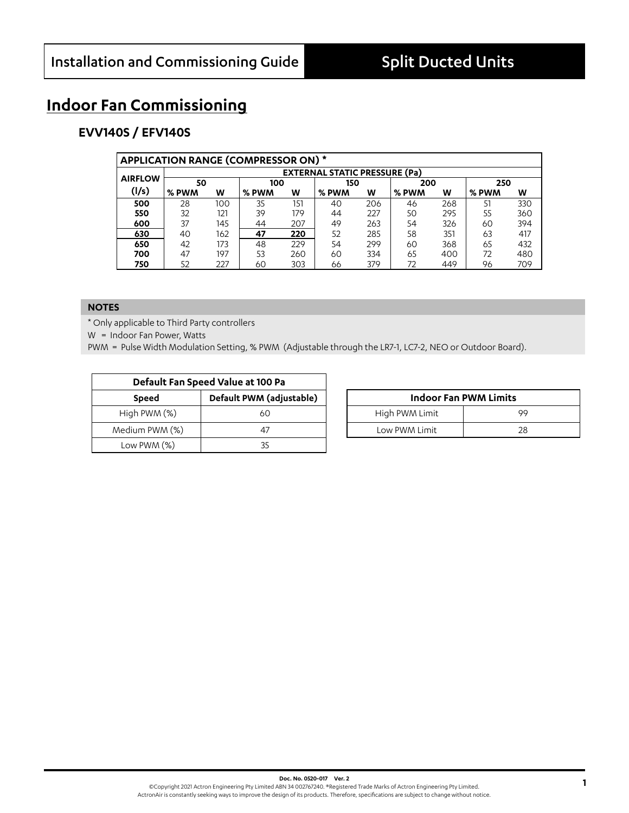## **Indoor Fan Commissioning**

## **EVV140S / EFV140S**

|                | <b>APPLICATION RANGE (COMPRESSOR ON) *</b> |                                      |       |     |       |     |       |     |       |     |  |  |  |  |  |
|----------------|--------------------------------------------|--------------------------------------|-------|-----|-------|-----|-------|-----|-------|-----|--|--|--|--|--|
|                |                                            | <b>EXTERNAL STATIC PRESSURE (Pa)</b> |       |     |       |     |       |     |       |     |  |  |  |  |  |
| <b>AIRFLOW</b> | 50                                         |                                      | 100   |     | 150   |     | 200   |     | 250   |     |  |  |  |  |  |
| (1/s)          | % PWM                                      | W                                    | % PWM | w   | % PWM | W   | % PWM | W   | % PWM | w   |  |  |  |  |  |
| 500            | 28                                         | 100                                  | 35    | 151 | 40    | 206 | 46    | 268 | 51    | 330 |  |  |  |  |  |
| 550            | 32                                         | 121                                  | 39    | 179 | 44    | 227 | 50    | 295 | 55    | 360 |  |  |  |  |  |
| 600            | 37                                         | 145                                  | 44    | 207 | 49    | 263 | 54    | 326 | 60    | 394 |  |  |  |  |  |
| 630            | 40                                         | 162                                  | 47    | 220 | 52    | 285 | 58    | 351 | 63    | 417 |  |  |  |  |  |
| 650            | 42                                         | 173                                  | 48    | 229 | 54    | 299 | 60    | 368 | 65    | 432 |  |  |  |  |  |
| 700            | 47                                         | 197                                  | 53    | 260 | 60    | 334 | 65    | 400 | 72    | 480 |  |  |  |  |  |
| 750            | 52                                         | 227                                  | 60    | 303 | 66    | 379 | 72    | 449 | 96    | 709 |  |  |  |  |  |

#### **NOTES**

\* Only applicable to Third Party controllers

W = Indoor Fan Power, Watts

|                | Default Fan Speed Value at 100 Pa |                |                              |
|----------------|-----------------------------------|----------------|------------------------------|
| <b>Speed</b>   | Default PWM (adjustable)          |                | <b>Indoor Fan PWM Limits</b> |
| High PWM (%)   | 60                                | High PWM Limit | 99                           |
| Medium PWM (%) | 47                                | Low PWM Limit  | 28                           |
| Low PWM $(%)$  |                                   |                |                              |

| <b>Indoor Fan PWM Limits</b> |    |  |  |  |  |  |
|------------------------------|----|--|--|--|--|--|
| High PWM Limit               | 99 |  |  |  |  |  |
| Low PWM Limit                | 28 |  |  |  |  |  |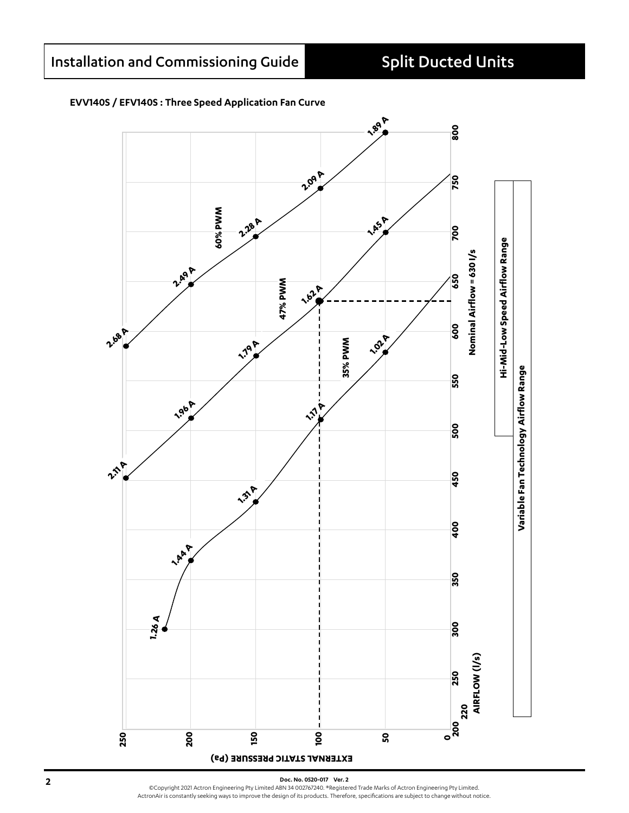### **EVV140S / EFV140S : Three Speed Application Fan Curve**



**2 Doc. No. 0520-017 Ver. 2** ©Copyright 2021 Actron Engineering Pty Limited ABN 34 002767240. ®Registered Trade Marks of Actron Engineering Pty Limited. ActronAir is constantly seeking ways to improve the design of its products. Therefore, specifications are subject to change without notice.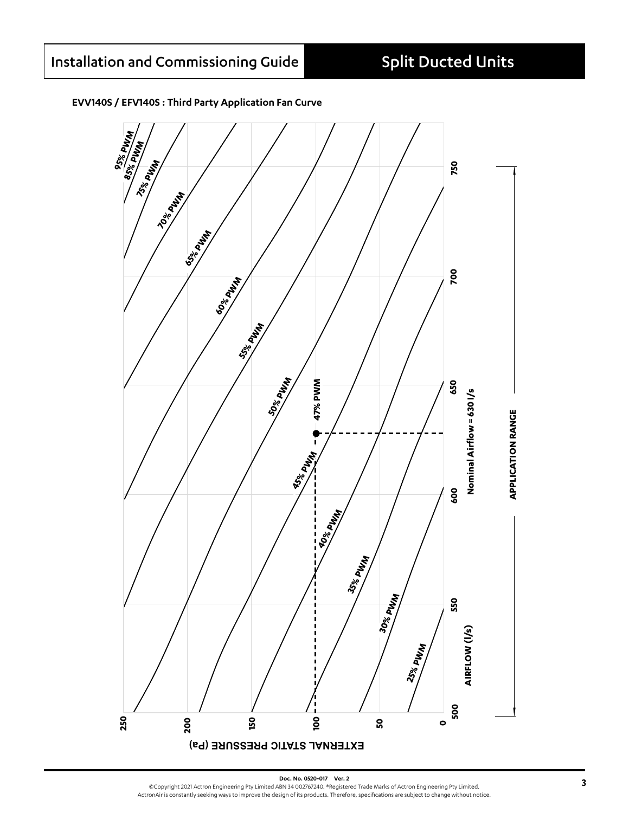#### **EVV140S / EFV140S : Third Party Application Fan Curve**

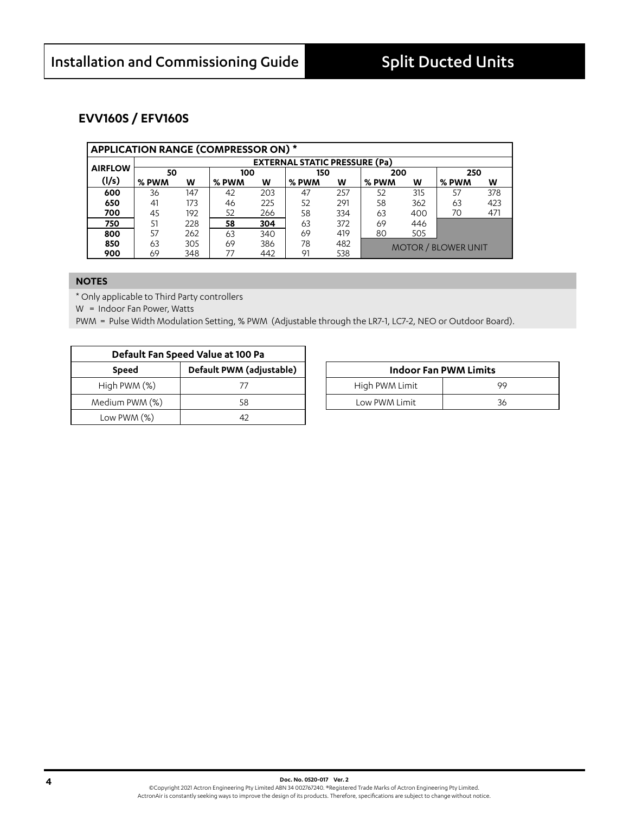### **EVV160S / EFV160S**

|                | <b>APPLICATION RANGE (COMPRESSOR ON) *</b> |                                      |       |     |       |     |       |     |                            |     |  |  |  |
|----------------|--------------------------------------------|--------------------------------------|-------|-----|-------|-----|-------|-----|----------------------------|-----|--|--|--|
|                |                                            | <b>EXTERNAL STATIC PRESSURE (Pa)</b> |       |     |       |     |       |     |                            |     |  |  |  |
| <b>AIRFLOW</b> | 50                                         |                                      | 100   |     | 150   |     | 200   |     | 250                        |     |  |  |  |
| (1/s)          | % PWM                                      | w                                    | % PWM | W   | % PWM | w   | % PWM | W   | % PWM                      | w   |  |  |  |
| 600            | 36                                         | 147                                  | 42    | 203 | 47    | 257 | 52    | 315 | 57                         | 378 |  |  |  |
| 650            | 41                                         | 173                                  | 46    | 225 | 52    | 291 | 58    | 362 | 63                         | 423 |  |  |  |
| 700            | 45                                         | 192                                  | 52    | 266 | 58    | 334 | 63    | 400 | 70                         | 471 |  |  |  |
| 750            | 51                                         | 228                                  | 58    | 304 | 63    | 372 | 69    | 446 |                            |     |  |  |  |
| 800            | 57                                         | 262                                  | 63    | 340 | 69    | 419 | 80    | 505 |                            |     |  |  |  |
| 850            | 63                                         | 305                                  | 69    | 386 | 78    | 482 |       |     | <b>MOTOR / BLOWER UNIT</b> |     |  |  |  |
| 900            | 69                                         | 348                                  | 77    | 442 | 91    | 538 |       |     |                            |     |  |  |  |

#### **NOTES**

\* Only applicable to Third Party controllers

W = Indoor Fan Power, Watts

|                | Default Fan Speed Value at 100 Pa |                |                              |
|----------------|-----------------------------------|----------------|------------------------------|
| <b>Speed</b>   | Default PWM (adjustable)          |                | <b>Indoor Fan PWM Limits</b> |
| High PWM (%)   |                                   | High PWM Limit | 99                           |
| Medium PWM (%) | 58                                | Low PWM Limit  | 36                           |
| Low PWM (%)    |                                   |                |                              |

| <b>Indoor Fan PWM Limits</b> |    |  |  |  |  |  |  |
|------------------------------|----|--|--|--|--|--|--|
| High PWM Limit               | QQ |  |  |  |  |  |  |
| Low PWM Limit                | 36 |  |  |  |  |  |  |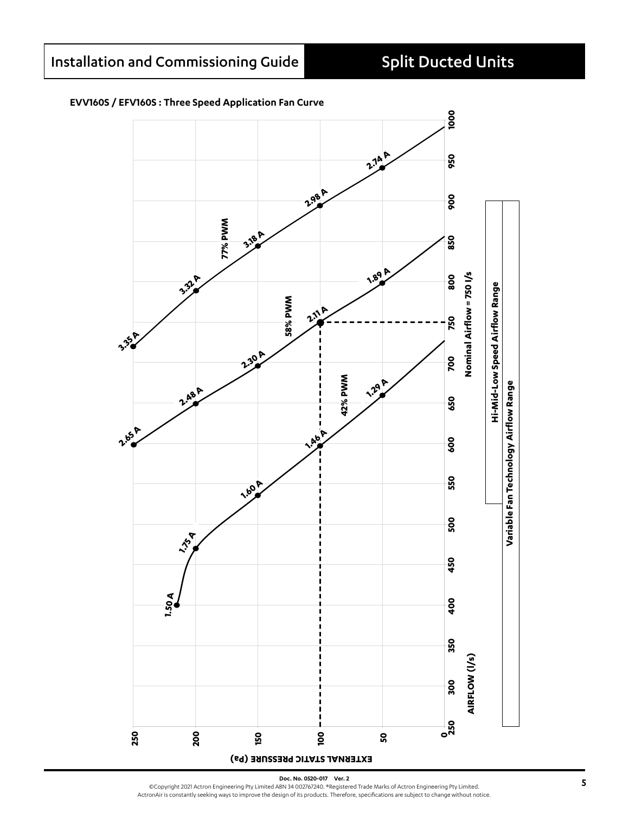#### **EVV160S / EFV160S : Three Speed Application Fan Curve**



Doc. No. 0520-017 Ver. 2<br>©Copyright 2021 Actron Engineering Pty Limited ABN 34 002767240. ®Registered Trade Marks of Actron Engineering Pty Limited.<br>ActronAir is constantly seeking ways to improve the design of its pro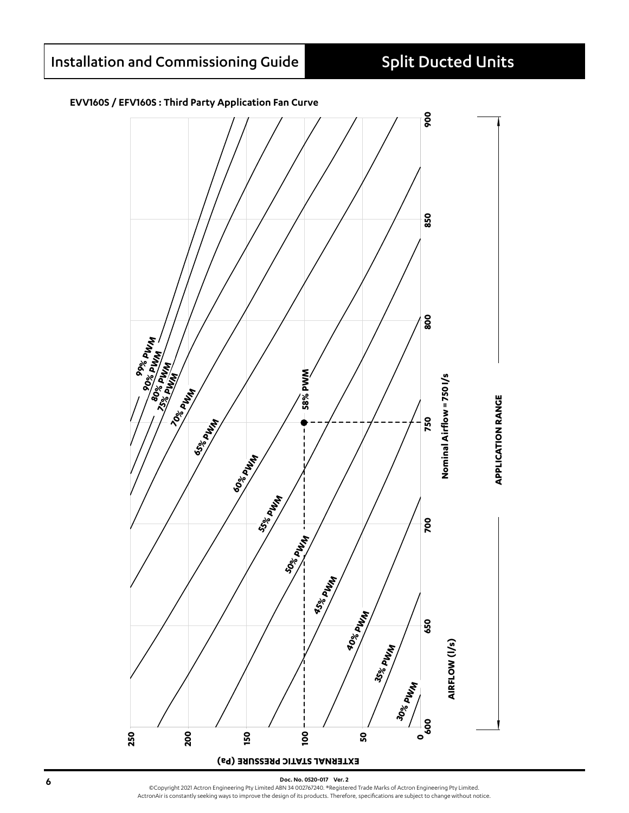#### **EVV160S / EFV160S : Third Party Application Fan Curve**



**6 boot. No. 0520-017 Ver. 2**<br>
©Copyright 2021 Actron Engineering Pty Limited ABN 34 002767240. ®Registered Trade Marks of Actron Engineering Pty Limited. ActronAir is constantly seeking ways to improve the design of its products. Therefore, specifications are subject to change without notice.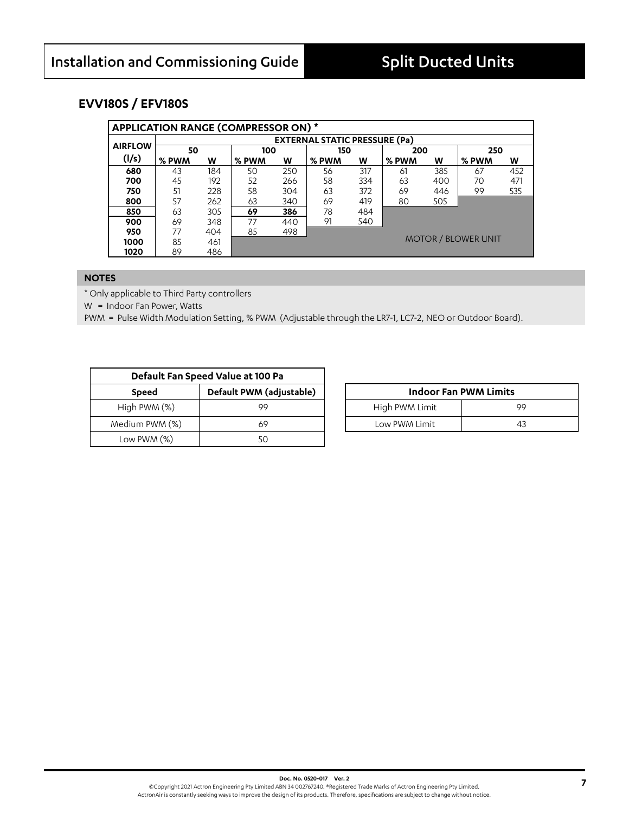### **EVV180S / EFV180S**

|                | APPLICATION RANGE (COMPRESSOR ON) * |                                      |       |     |       |     |       |     |                            |     |  |  |
|----------------|-------------------------------------|--------------------------------------|-------|-----|-------|-----|-------|-----|----------------------------|-----|--|--|
|                |                                     | <b>EXTERNAL STATIC PRESSURE (Pa)</b> |       |     |       |     |       |     |                            |     |  |  |
| <b>AIRFLOW</b> | 50                                  |                                      | 100   |     | 150   |     | 200   |     | 250                        |     |  |  |
| (1/s)          | % PWM                               | W                                    | % PWM | W   | % PWM | w   | % PWM | W   | % PWM                      | w   |  |  |
| 680            | 43                                  | 184                                  | 50    | 250 | 56    | 317 | 61    | 385 | 67                         | 452 |  |  |
| 700            | 45                                  | 192                                  | 52    | 266 | 58    | 334 | 63    | 400 | 70                         | 471 |  |  |
| 750            | 51                                  | 228                                  | 58    | 304 | 63    | 372 | 69    | 446 | 99                         | 535 |  |  |
| 800            | 57                                  | 262                                  | 63    | 340 | 69    | 419 | 80    | 505 |                            |     |  |  |
| 850            | 63                                  | 305                                  | 69    | 386 | 78    | 484 |       |     |                            |     |  |  |
| 900            | 69                                  | 348                                  | 77    | 440 | 91    | 540 |       |     |                            |     |  |  |
| 950            | 77                                  | 404                                  | 85    | 498 |       |     |       |     |                            |     |  |  |
| 1000           | 85                                  | 461                                  |       |     |       |     |       |     | <b>MOTOR / BLOWER UNIT</b> |     |  |  |
| 1020           | 89                                  | 486                                  |       |     |       |     |       |     |                            |     |  |  |

#### **NOTES**

\* Only applicable to Third Party controllers

W = Indoor Fan Power, Watts

|                | Default Fan Speed Value at 100 Pa |                |                              |
|----------------|-----------------------------------|----------------|------------------------------|
| <b>Speed</b>   | Default PWM (adjustable)          |                | <b>Indoor Fan PWM Limits</b> |
| High PWM (%)   | 99                                | High PWM Limit | 99                           |
| Medium PWM (%) | 69                                | Low PWM Limit  | 43                           |
| Low PWM $(%)$  |                                   |                |                              |

| <b>Indoor Fan PWM Limits</b> |    |  |  |  |  |  |  |
|------------------------------|----|--|--|--|--|--|--|
| High PWM Limit               | 99 |  |  |  |  |  |  |
| Low PWM Limit                | 43 |  |  |  |  |  |  |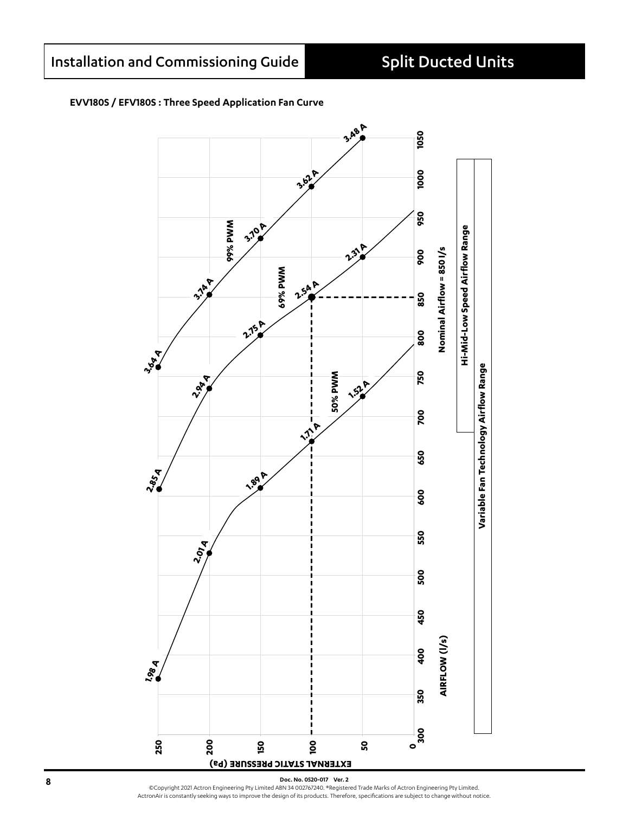#### **EVV180S / EFV180S : Three Speed Application Fan Curve**

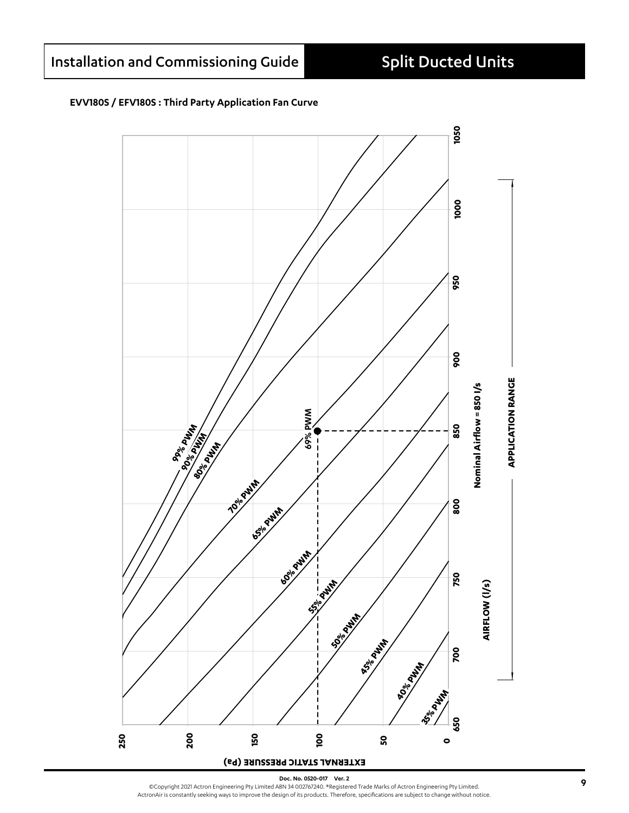#### EVV180S / EFV180S : Third Party Application Fan Curve

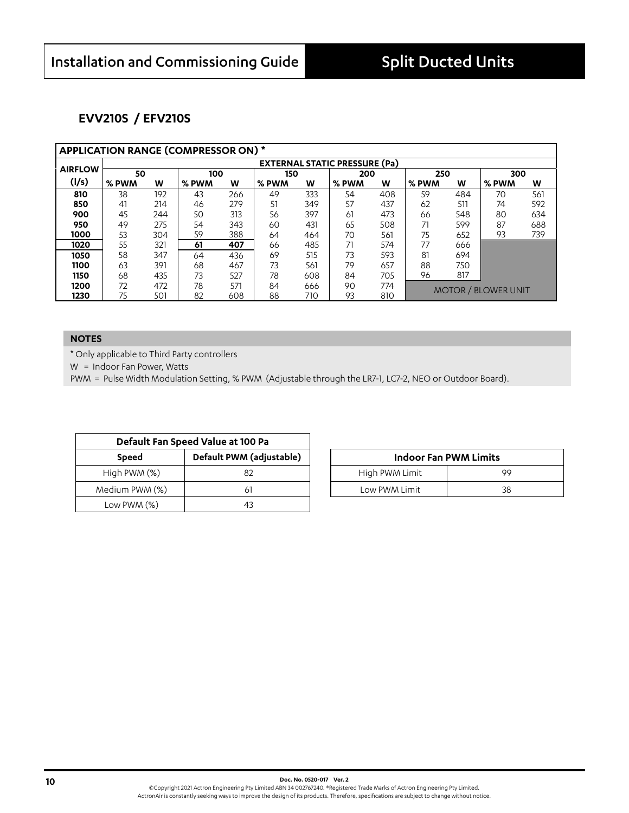### **EVV210S / EFV210S**

|                |       | <b>APPLICATION RANGE (COMPRESSOR ON) *</b> |       |     |       |     |       |     |       |     |                            |     |  |  |
|----------------|-------|--------------------------------------------|-------|-----|-------|-----|-------|-----|-------|-----|----------------------------|-----|--|--|
|                |       | <b>EXTERNAL STATIC PRESSURE (Pa)</b>       |       |     |       |     |       |     |       |     |                            |     |  |  |
| <b>AIRFLOW</b> | 50    |                                            | 100   |     | 150   |     | 200   |     | 250   |     | 300                        |     |  |  |
| (1/s)          | % PWM | W                                          | % PWM | W   | % PWM | W   | % PWM | w   | % PWM | W   | % PWM                      | w   |  |  |
| 810            | 38    | 192                                        | 43    | 266 | 49    | 333 | 54    | 408 | 59    | 484 | 70                         | 561 |  |  |
| 850            | 41    | 214                                        | 46    | 279 | 51    | 349 | 57    | 437 | 62    | 511 | 74                         | 592 |  |  |
| 900            | 45    | 244                                        | 50    | 313 | 56    | 397 | 61    | 473 | 66    | 548 | 80                         | 634 |  |  |
| 950            | 49    | 275                                        | 54    | 343 | 60    | 431 | 65    | 508 | 71    | 599 | 87                         | 688 |  |  |
| 1000           | 53    | 304                                        | 59    | 388 | 64    | 464 | 70    | 561 | 75    | 652 | 93                         | 739 |  |  |
| 1020           | 55    | 321                                        | 61    | 407 | 66    | 485 | 71    | 574 | 77    | 666 |                            |     |  |  |
| 1050           | 58    | 347                                        | 64    | 436 | 69    | 515 | 73    | 593 | 81    | 694 |                            |     |  |  |
| 1100           | 63    | 391                                        | 68    | 467 | 73    | 561 | 79    | 657 | 88    | 750 |                            |     |  |  |
| 1150           | 68    | 435                                        | 73    | 527 | 78    | 608 | 84    | 705 | 96    | 817 |                            |     |  |  |
| 1200           | 72    | 472                                        | 78    | 571 | 84    | 666 | 90    | 774 |       |     | <b>MOTOR / BLOWER UNIT</b> |     |  |  |
| 1230           | 75    | 501                                        | 82    | 608 | 88    | 710 | 93    | 810 |       |     |                            |     |  |  |

#### **NOTES**

\* Only applicable to Third Party controllers

W = Indoor Fan Power, Watts

|                | Default Fan Speed Value at 100 Pa |                |                              |
|----------------|-----------------------------------|----------------|------------------------------|
| <b>Speed</b>   | Default PWM (adjustable)          |                | <b>Indoor Fan PWM Limits</b> |
| High $PWM (%)$ |                                   | High PWM Limit | 99                           |
| Medium PWM (%) |                                   | Low PWM Limit  | 38                           |
| Low PWM $(\%)$ |                                   |                |                              |

| <b>Indoor Fan PWM Limits</b> |    |  |  |  |  |  |  |
|------------------------------|----|--|--|--|--|--|--|
| High PWM Limit<br>99         |    |  |  |  |  |  |  |
| Low PWM Limit                | 38 |  |  |  |  |  |  |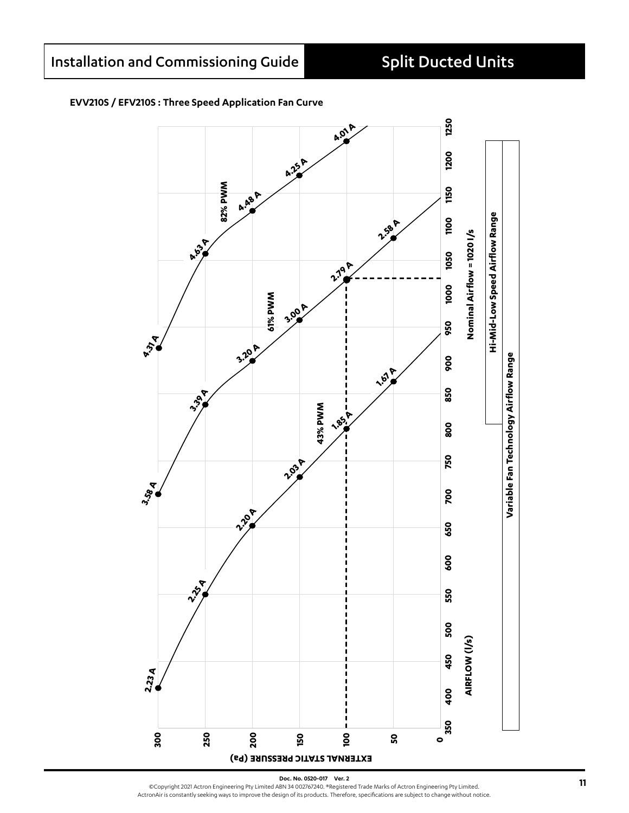### **EVV210S / EFV210S : Three Speed Application Fan Curve**



Doc. No. 0520-017 Ver. 2<br>©Copyright 2021 Actron Engineering Pty Limited ABN 34 002767240. ®Registered Trade Marks of Actron Engineering Pty Limited.<br>ActronAir is constantly seeking ways to improve the design of its pro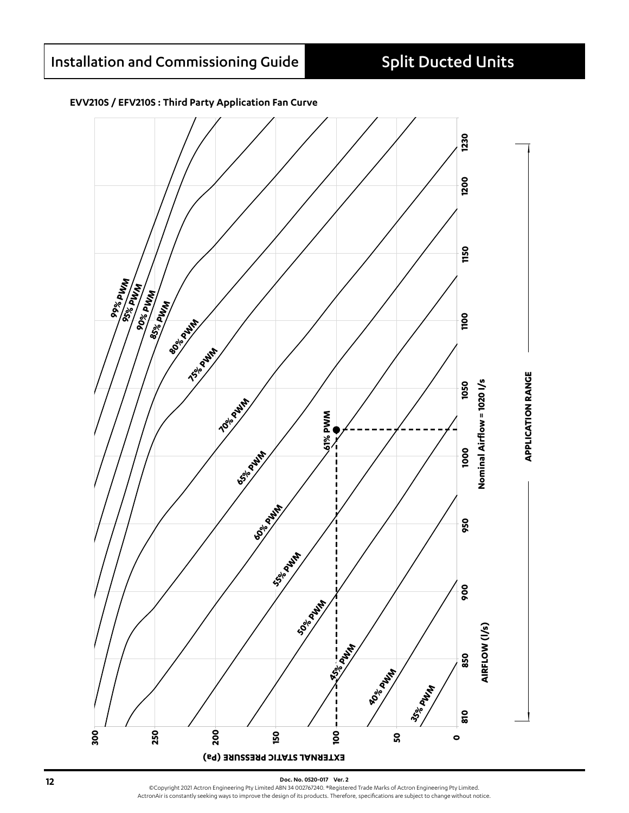

#### **EVV210S / EFV210S : Third Party Application Fan Curve**

**12 Doc. No. 0520-017 Ver. 2**<br>
©Copyright 2021 Actron Engineering Pty Limited ABN 34 002767240. ®Registered Trade Marks of Actron Engineering Pty Limited. ActronAir is constantly seeking ways to improve the design of its products. Therefore, specifications are subject to change without notice.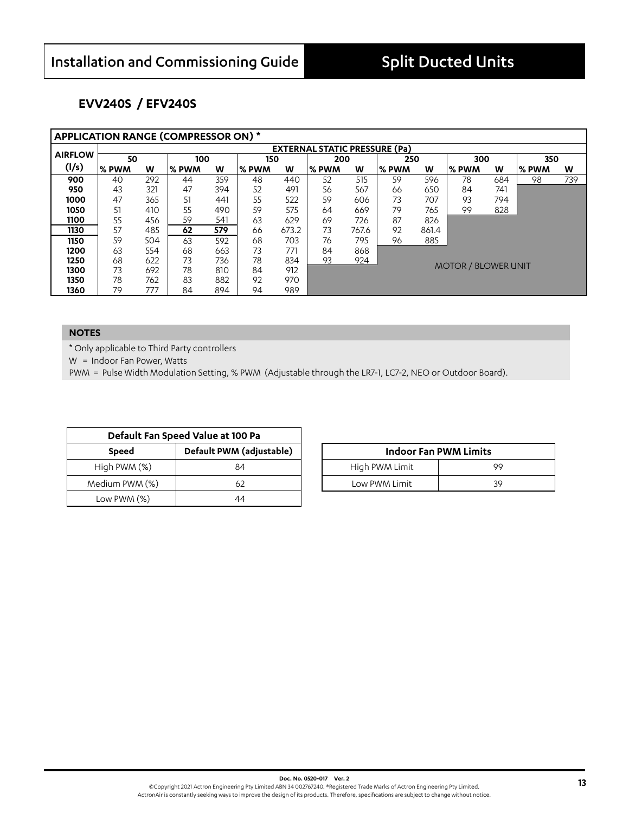### **EVV240S / EFV240S**

| <b>APPLICATION RANGE (COMPRESSOR ON) *</b> |                                      |     |       |     |       |       |        |       |              |       |                            |     |       |     |
|--------------------------------------------|--------------------------------------|-----|-------|-----|-------|-------|--------|-------|--------------|-------|----------------------------|-----|-------|-----|
|                                            | <b>EXTERNAL STATIC PRESSURE (Pa)</b> |     |       |     |       |       |        |       |              |       |                            |     |       |     |
| <b>AIRFLOW</b>                             | 50                                   |     | 100   |     | 150   |       | 200    |       | 250          |       | 300                        |     | 350   |     |
| (1/s)                                      | ∣% PWM                               | w   | % PWM | W   | % PWM | W     | l% PWM | W     | <b>% PWM</b> | W     | l% PWM                     | W   | % PWM | W   |
| 900                                        | 40                                   | 292 | 44    | 359 | 48    | 440   | 52     | 515   | 59           | 596   | 78                         | 684 | 98    | 739 |
| 950                                        | 43                                   | 321 | 47    | 394 | 52    | 491   | 56     | 567   | 66           | 650   | 84                         | 741 |       |     |
| 1000                                       | 47                                   | 365 | 51    | 441 | 55    | 522   | 59     | 606   | 73           | 707   | 93                         | 794 |       |     |
| 1050                                       | 51                                   | 410 | 55    | 490 | 59    | 575   | 64     | 669   | 79           | 765   | 99                         | 828 |       |     |
| 1100                                       | 55                                   | 456 | 59    | 541 | 63    | 629   | 69     | 726   | 87           | 826   |                            |     |       |     |
| 1130                                       | 57                                   | 485 | 62    | 579 | 66    | 673.2 | 73     | 767.6 | 92           | 861.4 |                            |     |       |     |
| 1150                                       | 59                                   | 504 | 63    | 592 | 68    | 703   | 76     | 795   | 96           | 885   |                            |     |       |     |
| 1200                                       | 63                                   | 554 | 68    | 663 | 73    | 771   | 84     | 868   |              |       |                            |     |       |     |
| 1250                                       | 68                                   | 622 | 73    | 736 | 78    | 834   | 93     | 924   |              |       |                            |     |       |     |
| 1300                                       | 73                                   | 692 | 78    | 810 | 84    | 912   |        |       |              |       | <b>MOTOR / BLOWER UNIT</b> |     |       |     |
| 1350                                       | 78                                   | 762 | 83    | 882 | 92    | 970   |        |       |              |       |                            |     |       |     |
| 1360                                       | 79                                   | 777 | 84    | 894 | 94    | 989   |        |       |              |       |                            |     |       |     |

#### **NOTES**

\* Only applicable to Third Party controllers

W = Indoor Fan Power, Watts

|                | Default Fan Speed Value at 100 Pa |                              |
|----------------|-----------------------------------|------------------------------|
| <b>Speed</b>   | Default PWM (adjustable)          | <b>Indoor Fan PWM Limits</b> |
| High PWM (%)   | 84                                | High PWM Limit<br>99         |
| Medium PWM (%) | 62                                | 39<br>Low PWM Limit          |
| Low PWM (%)    | 44                                |                              |

| <b>Indoor Fan PWM Limits</b> |    |  |  |  |  |
|------------------------------|----|--|--|--|--|
| High PWM Limit               | QQ |  |  |  |  |
| Low PWM Limit                | 30 |  |  |  |  |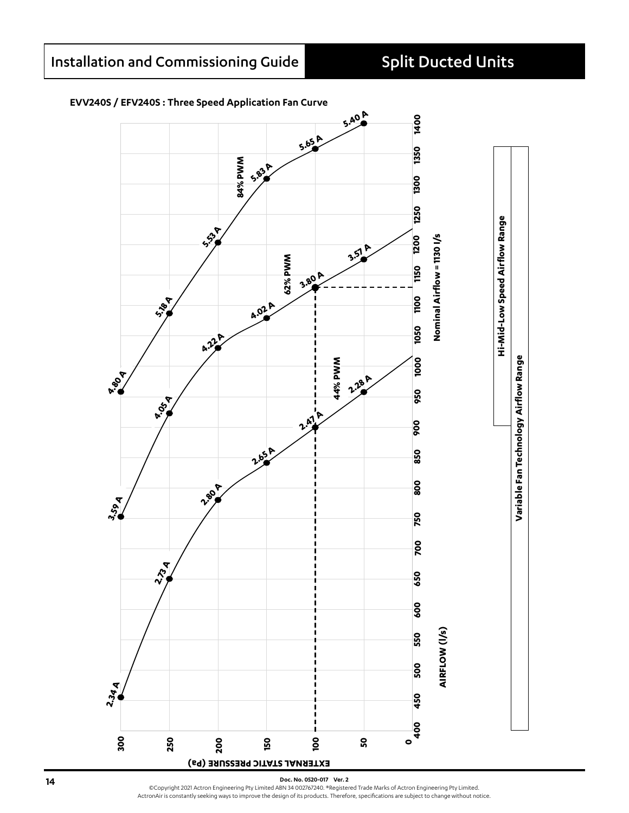#### **EVV240S / EFV240S : Three Speed Application Fan Curve**



**14 14 Doc. No. 0520-017 Ver. 2**<br>
©Copyright 2021 Actron Engineering Pty Limited ABN 34 002767240. ®Registered Trade Marks of Actron Engineering Pty Limited. ActronAir is constantly seeking ways to improve the design of its products. Therefore, specifications are subject to change without notice.